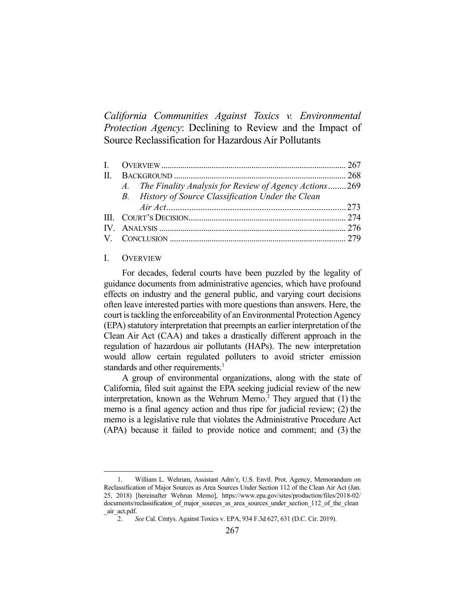*California Communities Against Toxics v. Environmental Protection Agency*: Declining to Review and the Impact of Source Reclassification for Hazardous Air Pollutants

| A. The Finality Analysis for Review of Agency Actions269 |  |
|----------------------------------------------------------|--|
| B. History of Source Classification Under the Clean      |  |
|                                                          |  |
|                                                          |  |
|                                                          |  |
|                                                          |  |

#### I. OVERVIEW

 For decades, federal courts have been puzzled by the legality of guidance documents from administrative agencies, which have profound effects on industry and the general public, and varying court decisions often leave interested parties with more questions than answers. Here, the court is tackling the enforceability of an Environmental Protection Agency (EPA) statutory interpretation that preempts an earlier interpretation of the Clean Air Act (CAA) and takes a drastically different approach in the regulation of hazardous air pollutants (HAPs). The new interpretation would allow certain regulated polluters to avoid stricter emission standards and other requirements.<sup>1</sup>

 A group of environmental organizations, along with the state of California, filed suit against the EPA seeking judicial review of the new interpretation, known as the Wehrum Memo.<sup>2</sup> They argued that  $(1)$  the memo is a final agency action and thus ripe for judicial review; (2) the memo is a legislative rule that violates the Administrative Procedure Act (APA) because it failed to provide notice and comment; and (3) the

 <sup>1.</sup> William L. Wehrum, Assistant Adm'r, U.S. Envtl. Prot. Agency, Memorandum on Reclassification of Major Sources as Area Sources Under Section 112 of the Clean Air Act (Jan. 25, 2018) [hereinafter Wehrun Memo], https://www.epa.gov/sites/production/files/2018-02/ documents/reclassification of major sources as area sources under section 112 of the clean \_air\_act.pdf.

 <sup>2.</sup> *See* Cal. Cmtys. Against Toxics v. EPA, 934 F.3d 627, 631 (D.C. Cir. 2019).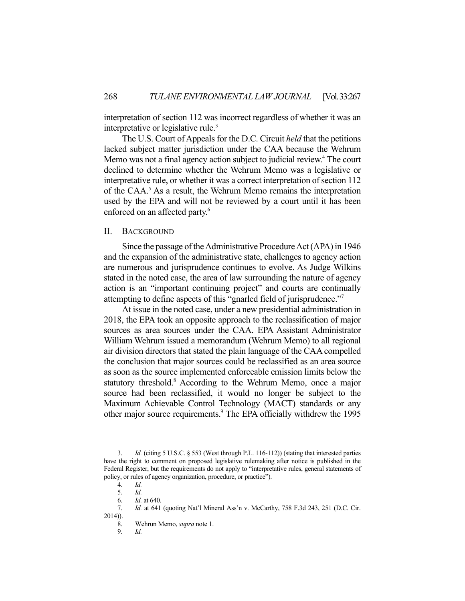interpretation of section 112 was incorrect regardless of whether it was an interpretative or legislative rule.<sup>3</sup>

 The U.S. Court of Appeals for the D.C. Circuit *held* that the petitions lacked subject matter jurisdiction under the CAA because the Wehrum Memo was not a final agency action subject to judicial review.<sup>4</sup> The court declined to determine whether the Wehrum Memo was a legislative or interpretative rule, or whether it was a correct interpretation of section 112 of the CAA.<sup>5</sup> As a result, the Wehrum Memo remains the interpretation used by the EPA and will not be reviewed by a court until it has been enforced on an affected party.<sup>6</sup>

### II. BACKGROUND

 Since the passage of the Administrative Procedure Act (APA) in 1946 and the expansion of the administrative state, challenges to agency action are numerous and jurisprudence continues to evolve. As Judge Wilkins stated in the noted case, the area of law surrounding the nature of agency action is an "important continuing project" and courts are continually attempting to define aspects of this "gnarled field of jurisprudence."7

 At issue in the noted case, under a new presidential administration in 2018, the EPA took an opposite approach to the reclassification of major sources as area sources under the CAA. EPA Assistant Administrator William Wehrum issued a memorandum (Wehrum Memo) to all regional air division directors that stated the plain language of the CAA compelled the conclusion that major sources could be reclassified as an area source as soon as the source implemented enforceable emission limits below the statutory threshold.<sup>8</sup> According to the Wehrum Memo, once a major source had been reclassified, it would no longer be subject to the Maximum Achievable Control Technology (MACT) standards or any other major source requirements.<sup>9</sup> The EPA officially withdrew the 1995

 <sup>3.</sup> *Id.* (citing 5 U.S.C. § 553 (West through P.L. 116-112)) (stating that interested parties have the right to comment on proposed legislative rulemaking after notice is published in the Federal Register, but the requirements do not apply to "interpretative rules, general statements of policy, or rules of agency organization, procedure, or practice").

 <sup>4.</sup> *Id.*

 <sup>5.</sup> *Id.*

 <sup>6.</sup> *Id.* at 640.

 <sup>7.</sup> *Id.* at 641 (quoting Nat'l Mineral Ass'n v. McCarthy, 758 F.3d 243, 251 (D.C. Cir. 2014)).

 <sup>8.</sup> Wehrun Memo, *supra* note 1.

 <sup>9.</sup> *Id.*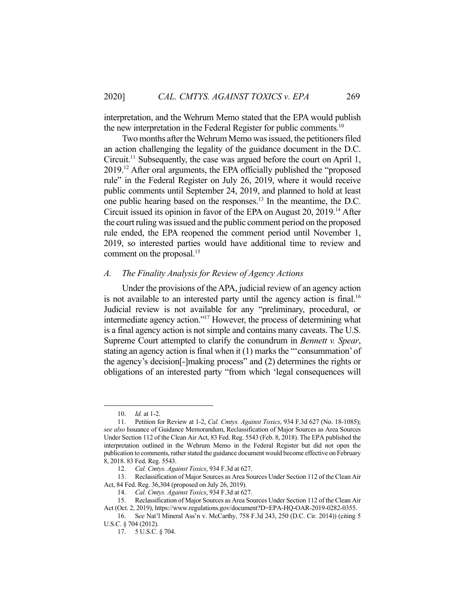interpretation, and the Wehrum Memo stated that the EPA would publish the new interpretation in the Federal Register for public comments.<sup>10</sup>

 Two months after the Wehrum Memo was issued, the petitioners filed an action challenging the legality of the guidance document in the D.C. Circuit.11 Subsequently, the case was argued before the court on April 1, 2019.12 After oral arguments, the EPA officially published the "proposed rule" in the Federal Register on July 26, 2019, where it would receive public comments until September 24, 2019, and planned to hold at least one public hearing based on the responses.13 In the meantime, the D.C. Circuit issued its opinion in favor of the EPA on August 20, 2019.14 After the court ruling was issued and the public comment period on the proposed rule ended, the EPA reopened the comment period until November 1, 2019, so interested parties would have additional time to review and comment on the proposal.<sup>15</sup>

## *A. The Finality Analysis for Review of Agency Actions*

 Under the provisions of the APA, judicial review of an agency action is not available to an interested party until the agency action is final.<sup>16</sup> Judicial review is not available for any "preliminary, procedural, or intermediate agency action."17 However, the process of determining what is a final agency action is not simple and contains many caveats. The U.S. Supreme Court attempted to clarify the conundrum in *Bennett v. Spear*, stating an agency action is final when it (1) marks the "'consummation' of the agency's decision[-]making process" and (2) determines the rights or obligations of an interested party "from which 'legal consequences will

 <sup>10.</sup> *Id.* at 1-2.

 <sup>11.</sup> Petition for Review at 1-2, *Cal. Cmtys. Against Toxics*, 934 F.3d 627 (No. 18-1085); *see also* Issuance of Guidance Memorandum, Reclassification of Major Sources as Area Sources Under Section 112 of the Clean Air Act, 83 Fed. Reg. 5543 (Feb. 8, 2018). The EPA published the interpretation outlined in the Wehrum Memo in the Federal Register but did not open the publication to comments, rather stated the guidance document would become effective on February 8, 2018. 83 Fed. Reg. 5543.

 <sup>12.</sup> *Cal. Cmtys. Against Toxics*, 934 F.3d at 627.

 <sup>13.</sup> Reclassification of Major Sources as Area Sources Under Section 112 of the Clean Air Act, 84 Fed. Reg. 36,304 (proposed on July 26, 2019).

 <sup>14.</sup> *Cal. Cmtys. Against Toxics*, 934 F.3d at 627.

Reclassification of Major Sources as Area Sources Under Section 112 of the Clean Air Act (Oct. 2, 2019), https://www.regulations.gov/document?D=EPA-HQ-OAR-2019-0282-0355.

 <sup>16.</sup> S*ee* Nat'l Mineral Ass'n v. McCarthy, 758 F.3d 243, 250 (D.C. Cir. 2014)) (citing 5 U.S.C. § 704 (2012).

 <sup>17. 5</sup> U.S.C. § 704.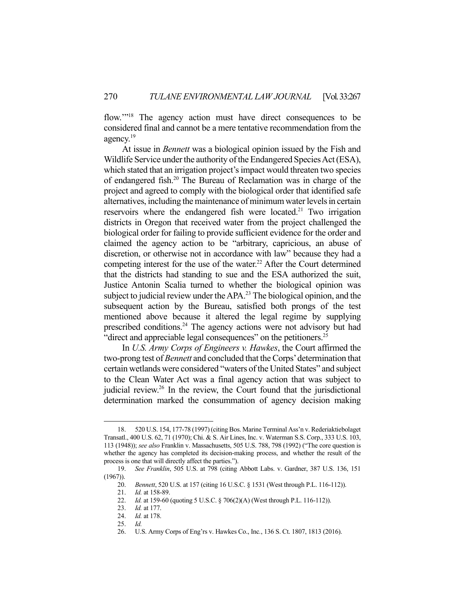flow."<sup>18</sup> The agency action must have direct consequences to be considered final and cannot be a mere tentative recommendation from the agency.<sup>19</sup>

 At issue in *Bennett* was a biological opinion issued by the Fish and Wildlife Service under the authority of the Endangered Species Act (ESA), which stated that an irrigation project's impact would threaten two species of endangered fish.20 The Bureau of Reclamation was in charge of the project and agreed to comply with the biological order that identified safe alternatives, including the maintenance of minimum water levels in certain reservoirs where the endangered fish were located.<sup>21</sup> Two irrigation districts in Oregon that received water from the project challenged the biological order for failing to provide sufficient evidence for the order and claimed the agency action to be "arbitrary, capricious, an abuse of discretion, or otherwise not in accordance with law" because they had a competing interest for the use of the water.<sup>22</sup> After the Court determined that the districts had standing to sue and the ESA authorized the suit, Justice Antonin Scalia turned to whether the biological opinion was subject to judicial review under the APA.<sup>23</sup> The biological opinion, and the subsequent action by the Bureau, satisfied both prongs of the test mentioned above because it altered the legal regime by supplying prescribed conditions.<sup>24</sup> The agency actions were not advisory but had "direct and appreciable legal consequences" on the petitioners.<sup>25</sup>

 In *U.S. Army Corps of Engineers v. Hawkes*, the Court affirmed the two-prong test of *Bennett* and concluded that the Corps' determination that certain wetlands were considered "waters of the United States" and subject to the Clean Water Act was a final agency action that was subject to judicial review.<sup>26</sup> In the review, the Court found that the jurisdictional determination marked the consummation of agency decision making

 <sup>18. 520</sup> U.S. 154, 177-78 (1997) (citing Bos. Marine Terminal Ass'n v. Rederiaktiebolaget Transatl., 400 U.S. 62, 71 (1970); Chi. & S. Air Lines, Inc. v. Waterman S.S. Corp., 333 U.S. 103, 113 (1948)); *see also* Franklin v. Massachusetts, 505 U.S. 788, 798 (1992) ("The core question is whether the agency has completed its decision-making process, and whether the result of the process is one that will directly affect the parties.").

 <sup>19.</sup> *See Franklin*, 505 U.S. at 798 (citing Abbott Labs. v. Gardner, 387 U.S. 136, 151  $(1967)$ ).

 <sup>20.</sup> *Bennett*, 520 U.S. at 157 (citing 16 U.S.C. § 1531 (West through P.L. 116-112)).

 <sup>21.</sup> *Id.* at 158-89.

 <sup>22.</sup> *Id.* at 159-60 (quoting 5 U.S.C. § 706(2)(A) (West through P.L. 116-112)).

 <sup>23.</sup> *Id.* at 177.

 <sup>24.</sup> *Id.* at 178.

 <sup>25.</sup> *Id.* 

 <sup>26.</sup> U.S. Army Corps of Eng'rs v. Hawkes Co., Inc*.*, 136 S. Ct. 1807, 1813 (2016).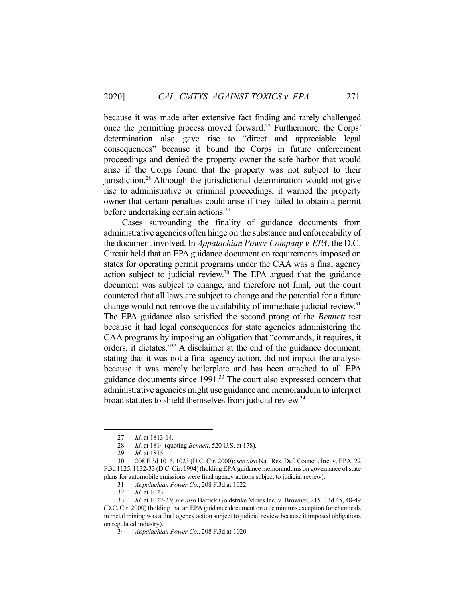because it was made after extensive fact finding and rarely challenged once the permitting process moved forward.27 Furthermore, the Corps' determination also gave rise to "direct and appreciable legal consequences" because it bound the Corps in future enforcement proceedings and denied the property owner the safe harbor that would arise if the Corps found that the property was not subject to their jurisdiction.<sup>28</sup> Although the jurisdictional determination would not give rise to administrative or criminal proceedings, it warned the property owner that certain penalties could arise if they failed to obtain a permit before undertaking certain actions.<sup>29</sup>

 Cases surrounding the finality of guidance documents from administrative agencies often hinge on the substance and enforceability of the document involved. In *Appalachian Power Company v. EPA*, the D.C. Circuit held that an EPA guidance document on requirements imposed on states for operating permit programs under the CAA was a final agency action subject to judicial review. $30$  The EPA argued that the guidance document was subject to change, and therefore not final, but the court countered that all laws are subject to change and the potential for a future change would not remove the availability of immediate judicial review.<sup>31</sup> The EPA guidance also satisfied the second prong of the *Bennett* test because it had legal consequences for state agencies administering the CAA programs by imposing an obligation that "commands, it requires, it orders, it dictates."32 A disclaimer at the end of the guidance document, stating that it was not a final agency action, did not impact the analysis because it was merely boilerplate and has been attached to all EPA guidance documents since 1991.<sup>33</sup> The court also expressed concern that administrative agencies might use guidance and memorandum to interpret broad statutes to shield themselves from judicial review.<sup>34</sup>

 <sup>27.</sup> *Id.* at 1813-14.

 <sup>28.</sup> *Id.* at 1814 (quoting *Bennett*, 520 U.S. at 178).

 <sup>29.</sup> *Id.* at 1815.

 <sup>30. 208</sup> F.3d 1015, 1023 (D.C. Cir. 2000); *see also* Nat. Res. Def. Council, Inc. v. EPA, 22 F.3d 1125, 1132-33 (D.C. Cir. 1994) (holding EPA guidance memorandums on governance of state plans for automobile emissions were final agency actions subject to judicial review).

 <sup>31.</sup> *Appalachian Power Co.*, 208 F.3d at 1022.

 <sup>32.</sup> *Id.* at 1023.

 <sup>33.</sup> *Id.* at 1022-23; *see also* Barrick Goldstrike Mines Inc. v. Browner, 215 F.3d 45, 48-49 (D.C. Cir. 2000) (holding that an EPA guidance document on a de minimis exception for chemicals in metal mining was a final agency action subject to judicial review because it imposed obligations on regulated industry).

 <sup>34.</sup> *Appalachian Power Co.*, 208 F.3d at 1020.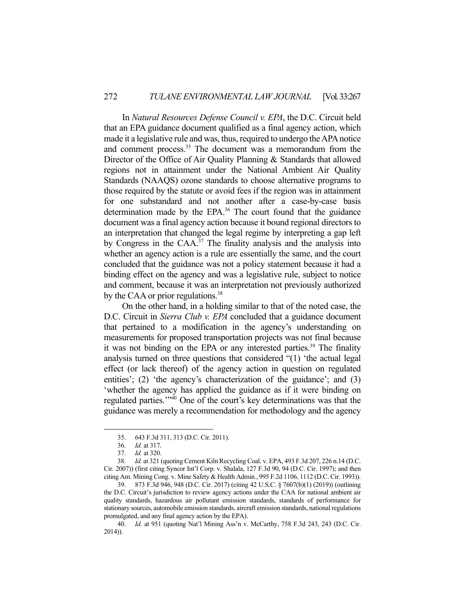In *Natural Resources Defense Council v. EPA*, the D.C. Circuit held that an EPA guidance document qualified as a final agency action, which made it a legislative rule and was, thus, required to undergo the APA notice and comment process.<sup>35</sup> The document was a memorandum from the Director of the Office of Air Quality Planning & Standards that allowed regions not in attainment under the National Ambient Air Quality Standards (NAAQS) ozone standards to choose alternative programs to those required by the statute or avoid fees if the region was in attainment for one substandard and not another after a case-by-case basis determination made by the EPA. $36$  The court found that the guidance document was a final agency action because it bound regional directors to an interpretation that changed the legal regime by interpreting a gap left by Congress in the CAA.37 The finality analysis and the analysis into whether an agency action is a rule are essentially the same, and the court concluded that the guidance was not a policy statement because it had a binding effect on the agency and was a legislative rule, subject to notice and comment, because it was an interpretation not previously authorized by the CAA or prior regulations.<sup>38</sup>

 On the other hand, in a holding similar to that of the noted case, the D.C. Circuit in *Sierra Club v. EPA* concluded that a guidance document that pertained to a modification in the agency's understanding on measurements for proposed transportation projects was not final because it was not binding on the EPA or any interested parties.<sup>39</sup> The finality analysis turned on three questions that considered "(1) 'the actual legal effect (or lack thereof) of the agency action in question on regulated entities'; (2) 'the agency's characterization of the guidance'; and (3) 'whether the agency has applied the guidance as if it were binding on regulated parties.'"40 One of the court's key determinations was that the guidance was merely a recommendation for methodology and the agency

 39. 873 F.3d 946, 948 (D.C. Cir. 2017) (citing 42 U.S.C. § 7607(b)(1) (2019)) (outlining the D.C. Circuit's jurisdiction to review agency actions under the CAA for national ambient air quality standards, hazardous air pollutant emission standards, standards of performance for stationary sources, automobile emission standards, aircraft emission standards, national regulations promulgated, and any final agency action by the EPA).

 40. *Id.* at 951 (quoting Nat'l Mining Ass'n v. McCarthy, 758 F.3d 243, 243 (D.C. Cir. 2014)).

 <sup>35. 643</sup> F.3d 311, 313 (D.C. Cir. 2011).

 <sup>36.</sup> *Id.* at 317.

 <sup>37.</sup> *Id.* at 320.

 <sup>38.</sup> *Id.* at 321 (quoting Cement Kiln Recycling Coal. v. EPA, 493 F.3d 207, 226 n.14 (D.C. Cir. 2007)) (first citing Syncor Int'l Corp. v. Shalala, 127 F.3d 90, 94 (D.C. Cir. 1997); and then citing Am. Mining Cong. v. Mine Safety & Health Admin*.*, 995 F.2d 1106, 1112 (D.C. Cir. 1993)).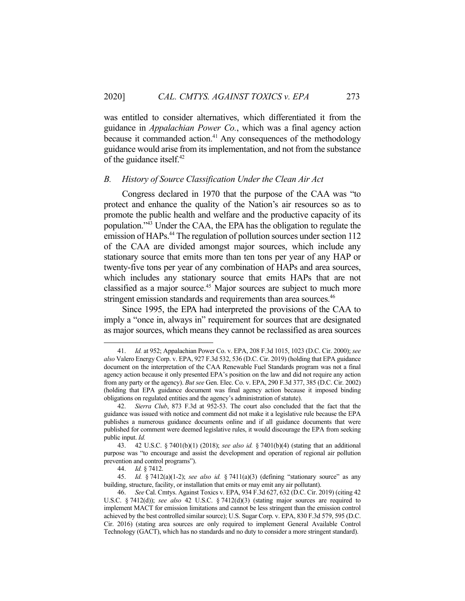was entitled to consider alternatives, which differentiated it from the guidance in *Appalachian Power Co.*, which was a final agency action because it commanded action. $41$  Any consequences of the methodology guidance would arise from its implementation, and not from the substance of the guidance itself.42

## *B. History of Source Classification Under the Clean Air Act*

 Congress declared in 1970 that the purpose of the CAA was "to protect and enhance the quality of the Nation's air resources so as to promote the public health and welfare and the productive capacity of its population."43 Under the CAA, the EPA has the obligation to regulate the emission of HAPs.<sup>44</sup> The regulation of pollution sources under section 112 of the CAA are divided amongst major sources, which include any stationary source that emits more than ten tons per year of any HAP or twenty-five tons per year of any combination of HAPs and area sources, which includes any stationary source that emits HAPs that are not classified as a major source.<sup>45</sup> Major sources are subject to much more stringent emission standards and requirements than area sources.<sup>46</sup>

 Since 1995, the EPA had interpreted the provisions of the CAA to imply a "once in, always in" requirement for sources that are designated as major sources, which means they cannot be reclassified as area sources

 <sup>41.</sup> *Id.* at 952; Appalachian Power Co. v. EPA, 208 F.3d 1015, 1023 (D.C. Cir. 2000); *see also* Valero Energy Corp. v. EPA, 927 F.3d 532, 536 (D.C. Cir. 2019) (holding that EPA guidance document on the interpretation of the CAA Renewable Fuel Standards program was not a final agency action because it only presented EPA's position on the law and did not require any action from any party or the agency). *But see* Gen. Elec. Co. v. EPA, 290 F.3d 377, 385 (D.C. Cir. 2002) (holding that EPA guidance document was final agency action because it imposed binding obligations on regulated entities and the agency's administration of statute).

 <sup>42.</sup> *Sierra Club*, 873 F.3d at 952-53. The court also concluded that the fact that the guidance was issued with notice and comment did not make it a legislative rule because the EPA publishes a numerous guidance documents online and if all guidance documents that were published for comment were deemed legislative rules, it would discourage the EPA from seeking public input. *Id.* 

 <sup>43. 42</sup> U.S.C. § 7401(b)(1) (2018); *see also id.* § 7401(b)(4) (stating that an additional purpose was "to encourage and assist the development and operation of regional air pollution prevention and control programs").

 <sup>44.</sup> *Id.* § 7412.

 <sup>45.</sup> *Id.* § 7412(a)(1-2); *see also id.* § 7411(a)(3) (defining "stationary source" as any building, structure, facility, or installation that emits or may emit any air pollutant).

 <sup>46.</sup> *See* Cal. Cmtys. Against Toxics v. EPA, 934 F.3d 627, 632 (D.C. Cir. 2019) (citing 42 U.S.C. § 7412(d)); *see also* 42 U.S.C. § 7412(d)(3) (stating major sources are required to implement MACT for emission limitations and cannot be less stringent than the emission control achieved by the best controlled similar source); U.S. Sugar Corp. v. EPA, 830 F.3d 579, 595 (D.C. Cir. 2016) (stating area sources are only required to implement General Available Control Technology (GACT), which has no standards and no duty to consider a more stringent standard).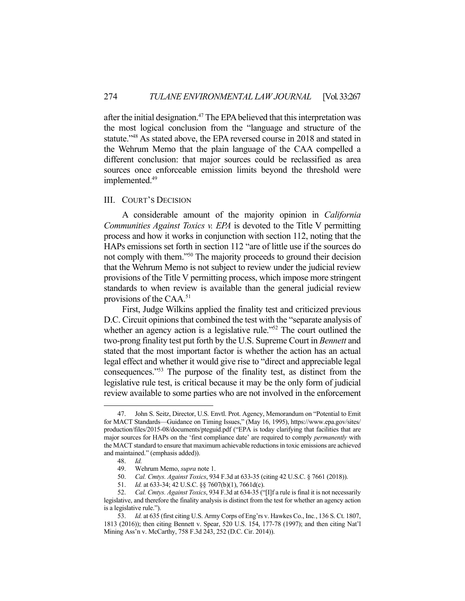after the initial designation.47 The EPA believed that this interpretation was the most logical conclusion from the "language and structure of the statute."<sup>48</sup> As stated above, the EPA reversed course in 2018 and stated in the Wehrum Memo that the plain language of the CAA compelled a different conclusion: that major sources could be reclassified as area sources once enforceable emission limits beyond the threshold were implemented.<sup>49</sup>

### III. COURT'S DECISION

 A considerable amount of the majority opinion in *California Communities Against Toxics v. EPA* is devoted to the Title V permitting process and how it works in conjunction with section 112, noting that the HAPs emissions set forth in section 112 "are of little use if the sources do not comply with them."50 The majority proceeds to ground their decision that the Wehrum Memo is not subject to review under the judicial review provisions of the Title V permitting process, which impose more stringent standards to when review is available than the general judicial review provisions of the CAA.51

 First, Judge Wilkins applied the finality test and criticized previous D.C. Circuit opinions that combined the test with the "separate analysis of whether an agency action is a legislative rule."<sup>52</sup> The court outlined the two-prong finality test put forth by the U.S. Supreme Court in *Bennett* and stated that the most important factor is whether the action has an actual legal effect and whether it would give rise to "direct and appreciable legal consequences."53 The purpose of the finality test, as distinct from the legislative rule test, is critical because it may be the only form of judicial review available to some parties who are not involved in the enforcement

 <sup>47.</sup> John S. Seitz, Director, U.S. Envtl. Prot. Agency, Memorandum on "Potential to Emit for MACT Standards—Guidance on Timing Issues," (May 16, 1995), https://www.epa.gov/sites/ production/files/2015-08/documents/pteguid.pdf ("EPA is today clarifying that facilities that are major sources for HAPs on the 'first compliance date' are required to comply *permanently* with the MACT standard to ensure that maximum achievable reductions in toxic emissions are achieved and maintained." (emphasis added)).

 <sup>48.</sup> *Id.*

 <sup>49.</sup> Wehrum Memo, *supra* note 1.

 <sup>50.</sup> *Cal. Cmtys. Against Toxics*, 934 F.3d at 633-35 (citing 42 U.S.C. § 7661 (2018)).

 <sup>51.</sup> *Id.* at 633-34; 42 U.S.C. §§ 7607(b)(1), 7661d(c).

 <sup>52.</sup> *Cal. Cmtys. Against Toxics*, 934 F.3d at 634-35 ("[I]f a rule is final it is not necessarily legislative, and therefore the finality analysis is distinct from the test for whether an agency action is a legislative rule.").

 <sup>53.</sup> *Id.* at 635 (first citing U.S. Army Corps of Eng'rs v. Hawkes Co., Inc*.*, 136 S. Ct. 1807, 1813 (2016)); then citing Bennett v. Spear, 520 U.S. 154, 177-78 (1997); and then citing Nat'l Mining Ass'n v. McCarthy, 758 F.3d 243, 252 (D.C. Cir. 2014)).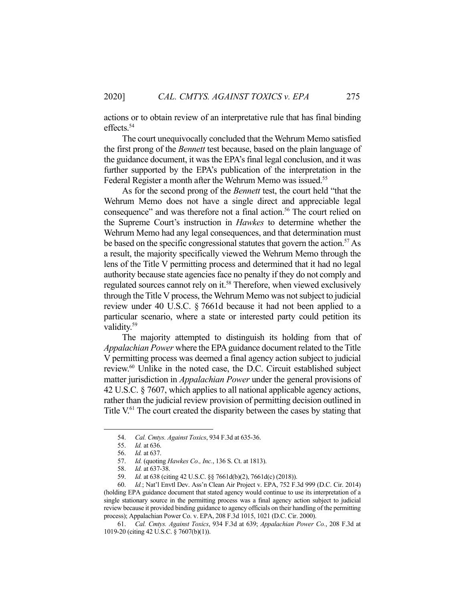actions or to obtain review of an interpretative rule that has final binding effects.54

 The court unequivocally concluded that the Wehrum Memo satisfied the first prong of the *Bennett* test because, based on the plain language of the guidance document, it was the EPA's final legal conclusion, and it was further supported by the EPA's publication of the interpretation in the Federal Register a month after the Wehrum Memo was issued.<sup>55</sup>

 As for the second prong of the *Bennett* test, the court held "that the Wehrum Memo does not have a single direct and appreciable legal consequence" and was therefore not a final action.<sup>56</sup> The court relied on the Supreme Court's instruction in *Hawkes* to determine whether the Wehrum Memo had any legal consequences, and that determination must be based on the specific congressional statutes that govern the action.<sup>57</sup> As a result, the majority specifically viewed the Wehrum Memo through the lens of the Title V permitting process and determined that it had no legal authority because state agencies face no penalty if they do not comply and regulated sources cannot rely on it.<sup>58</sup> Therefore, when viewed exclusively through the Title V process, the Wehrum Memo was not subject to judicial review under 40 U.S.C. § 7661d because it had not been applied to a particular scenario, where a state or interested party could petition its validity.<sup>59</sup>

 The majority attempted to distinguish its holding from that of *Appalachian Power* where the EPA guidance document related to the Title V permitting process was deemed a final agency action subject to judicial review.60 Unlike in the noted case, the D.C. Circuit established subject matter jurisdiction in *Appalachian Power* under the general provisions of 42 U.S.C. § 7607, which applies to all national applicable agency actions, rather than the judicial review provision of permitting decision outlined in Title V.61 The court created the disparity between the cases by stating that

 60. *Id.*; Nat'l Envtl Dev. Ass'n Clean Air Project v. EPA, 752 F.3d 999 (D.C. Cir. 2014) (holding EPA guidance document that stated agency would continue to use its interpretation of a single stationary source in the permitting process was a final agency action subject to judicial review because it provided binding guidance to agency officials on their handling of the permitting process); Appalachian Power Co. v. EPA, 208 F.3d 1015, 1021 (D.C. Cir. 2000).

 61. *Cal. Cmtys. Against Toxics*, 934 F.3d at 639; *Appalachian Power Co.*, 208 F.3d at 1019-20 (citing 42 U.S.C. § 7607(b)(1)).

 <sup>54.</sup> *Cal. Cmtys. Against Toxics*, 934 F.3d at 635-36.

 <sup>55.</sup> *Id.* at 636.

*Id.* at 637.

 <sup>57.</sup> *Id.* (quoting *Hawkes Co., Inc.*, 136 S. Ct. at 1813).

 <sup>58.</sup> *Id.* at 637-38.

 <sup>59.</sup> *Id.* at 638 (citing 42 U.S.C. §§ 7661d(b)(2), 7661d(c) (2018)).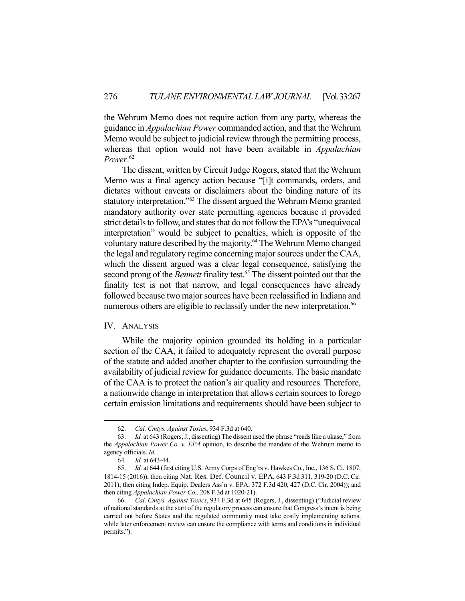the Wehrum Memo does not require action from any party, whereas the guidance in *Appalachian Power* commanded action, and that the Wehrum Memo would be subject to judicial review through the permitting process, whereas that option would not have been available in *Appalachian Power*. 62

 The dissent, written by Circuit Judge Rogers, stated that the Wehrum Memo was a final agency action because "[i]t commands, orders, and dictates without caveats or disclaimers about the binding nature of its statutory interpretation."63 The dissent argued the Wehrum Memo granted mandatory authority over state permitting agencies because it provided strict details to follow, and states that do not follow the EPA's "unequivocal interpretation" would be subject to penalties, which is opposite of the voluntary nature described by the majority.64 The Wehrum Memo changed the legal and regulatory regime concerning major sources under the CAA, which the dissent argued was a clear legal consequence, satisfying the second prong of the *Bennett* finality test.<sup>65</sup> The dissent pointed out that the finality test is not that narrow, and legal consequences have already followed because two major sources have been reclassified in Indiana and numerous others are eligible to reclassify under the new interpretation.<sup>66</sup>

# IV. ANALYSIS

 While the majority opinion grounded its holding in a particular section of the CAA, it failed to adequately represent the overall purpose of the statute and added another chapter to the confusion surrounding the availability of judicial review for guidance documents. The basic mandate of the CAA is to protect the nation's air quality and resources. Therefore, a nationwide change in interpretation that allows certain sources to forego certain emission limitations and requirements should have been subject to

 <sup>62.</sup> *Cal. Cmtys. Against Toxics*, 934 F.3d at 640.

 <sup>63.</sup> *Id.* at 643 (Rogers, J., dissenting) The dissent used the phrase "reads like a ukase," from the *Appalachian Power Co. v. EPA* opinion, to describe the mandate of the Wehrum memo to agency officials. *Id.*

 <sup>64.</sup> *Id.* at 643-44.

 <sup>65.</sup> *Id.* at 644 (first citing U.S. Army Corps of Eng'rs v. Hawkes Co., Inc*.*, 136 S. Ct. 1807, 1814-15 (2016)); then citing Nat. Res. Def. Council v. EPA, 643 F.3d 311, 319-20 (D.C. Cir. 2011); then citing Indep. Equip. Dealers Ass'n v. EPA, 372 F.3d 420, 427 (D.C. Cir. 2004)); and then citing *Appalachian Power Co.,* 208 F.3d at 1020-21).

 <sup>66.</sup> *Cal. Cmtys. Against Toxics*, 934 F.3d at 645 (Rogers, J., dissenting) ("Judicial review of national standards at the start of the regulatory process can ensure that Congress's intent is being carried out before States and the regulated community must take costly implementing actions, while later enforcement review can ensure the compliance with terms and conditions in individual permits.").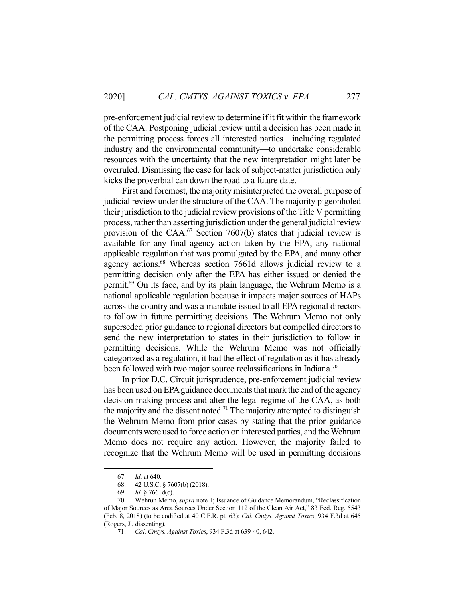pre-enforcement judicial review to determine if it fit within the framework of the CAA. Postponing judicial review until a decision has been made in the permitting process forces all interested parties—including regulated industry and the environmental community—to undertake considerable resources with the uncertainty that the new interpretation might later be overruled. Dismissing the case for lack of subject-matter jurisdiction only kicks the proverbial can down the road to a future date.

 First and foremost, the majority misinterpreted the overall purpose of judicial review under the structure of the CAA. The majority pigeonholed their jurisdiction to the judicial review provisions of the Title V permitting process, rather than asserting jurisdiction under the general judicial review provision of the CAA. $^{67}$  Section 7607(b) states that judicial review is available for any final agency action taken by the EPA, any national applicable regulation that was promulgated by the EPA, and many other agency actions.68 Whereas section 7661d allows judicial review to a permitting decision only after the EPA has either issued or denied the permit.69 On its face, and by its plain language, the Wehrum Memo is a national applicable regulation because it impacts major sources of HAPs across the country and was a mandate issued to all EPA regional directors to follow in future permitting decisions. The Wehrum Memo not only superseded prior guidance to regional directors but compelled directors to send the new interpretation to states in their jurisdiction to follow in permitting decisions. While the Wehrum Memo was not officially categorized as a regulation, it had the effect of regulation as it has already been followed with two major source reclassifications in Indiana.<sup>70</sup>

 In prior D.C. Circuit jurisprudence, pre-enforcement judicial review has been used on EPA guidance documents that mark the end of the agency decision-making process and alter the legal regime of the CAA, as both the majority and the dissent noted.<sup>71</sup> The majority attempted to distinguish the Wehrum Memo from prior cases by stating that the prior guidance documents were used to force action on interested parties, and the Wehrum Memo does not require any action. However, the majority failed to recognize that the Wehrum Memo will be used in permitting decisions

 <sup>67.</sup> *Id.* at 640.

 <sup>68. 42</sup> U.S.C. § 7607(b) (2018).

 <sup>69.</sup> *Id.* § 7661d(c).

 <sup>70.</sup> Wehrun Memo, *supra* note 1; Issuance of Guidance Memorandum, "Reclassification of Major Sources as Area Sources Under Section 112 of the Clean Air Act," 83 Fed. Reg. 5543 (Feb. 8, 2018) (to be codified at 40 C.F.R. pt. 63); *Cal. Cmtys. Against Toxics*, 934 F.3d at 645 (Rogers, J., dissenting).

 <sup>71.</sup> *Cal. Cmtys. Against Toxics*, 934 F.3d at 639-40, 642.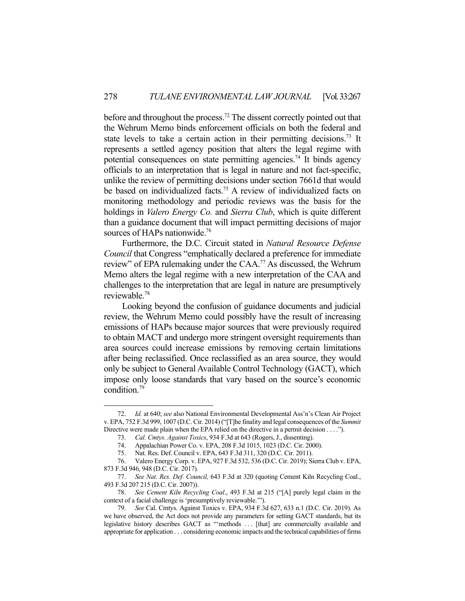before and throughout the process.<sup>72</sup> The dissent correctly pointed out that the Wehrum Memo binds enforcement officials on both the federal and state levels to take a certain action in their permitting decisions.<sup>73</sup> It represents a settled agency position that alters the legal regime with potential consequences on state permitting agencies.<sup>74</sup> It binds agency officials to an interpretation that is legal in nature and not fact-specific, unlike the review of permitting decisions under section 7661d that would be based on individualized facts.<sup>75</sup> A review of individualized facts on monitoring methodology and periodic reviews was the basis for the holdings in *Valero Energy Co.* and *Sierra Club*, which is quite different than a guidance document that will impact permitting decisions of major sources of HAPs nationwide.<sup>76</sup>

 Furthermore, the D.C. Circuit stated in *Natural Resource Defense Council* that Congress "emphatically declared a preference for immediate review" of EPA rulemaking under the CAA.<sup>77</sup> As discussed, the Wehrum Memo alters the legal regime with a new interpretation of the CAA and challenges to the interpretation that are legal in nature are presumptively reviewable.78

 Looking beyond the confusion of guidance documents and judicial review, the Wehrum Memo could possibly have the result of increasing emissions of HAPs because major sources that were previously required to obtain MACT and undergo more stringent oversight requirements than area sources could increase emissions by removing certain limitations after being reclassified. Once reclassified as an area source, they would only be subject to General Available Control Technology (GACT), which impose only loose standards that vary based on the source's economic condition.79

 <sup>72.</sup> *Id.* at 640; *see* also National Environmental Developmental Ass'n's Clean Air Project v. EPA, 752 F.3d 999, 1007 (D.C. Cir. 2014) ("[T]he finality and legal consequences of the *Summit* Directive were made plain when the EPA relied on the directive in a permit decision . . . .").

 <sup>73.</sup> *Cal. Cmtys. Against Toxics*, 934 F.3d at 643 (Rogers, J., dissenting).

 <sup>74.</sup> Appalachian Power Co. v. EPA, 208 F.3d 1015, 1023 (D.C. Cir. 2000).

 <sup>75.</sup> Nat. Res. Def. Council v. EPA, 643 F.3d 311, 320 (D.C. Cir. 2011).

 <sup>76.</sup> Valero Energy Corp. v. EPA, 927 F.3d 532, 536 (D.C. Cir. 2019); Sierra Club v. EPA, 873 F.3d 946, 948 (D.C. Cir. 2017).

 <sup>77.</sup> *See Nat. Res. Def. Council,* 643 F.3d at 320 (quoting Cement Kiln Recycling Coal., 493 F.3d 207 215 (D.C. Cir. 2007)).

 <sup>78.</sup> *See Cement Kiln Recycling Coal*., 493 F.3d at 215 ("[A] purely legal claim in the context of a facial challenge is 'presumptively reviewable.'").

 <sup>79.</sup> *See* Cal. Cmtys. Against Toxics v. EPA, 934 F.3d 627, 633 n.1 (D.C. Cir. 2019). As we have observed, the Act does not provide any parameters for setting GACT standards, but its legislative history describes GACT as "'methods ... [that] are commercially available and appropriate for application . . . considering economic impacts and the technical capabilities of firms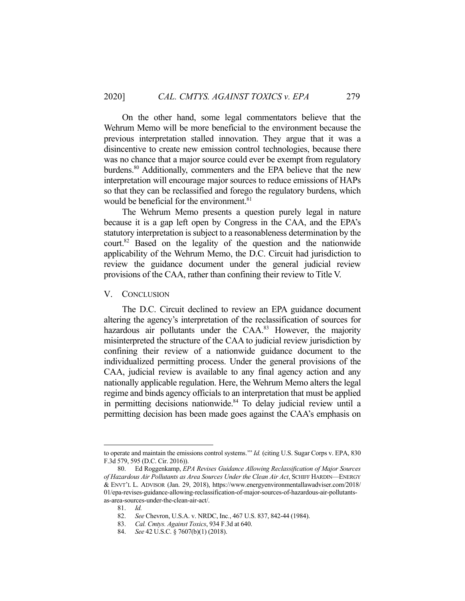On the other hand, some legal commentators believe that the Wehrum Memo will be more beneficial to the environment because the previous interpretation stalled innovation. They argue that it was a disincentive to create new emission control technologies, because there was no chance that a major source could ever be exempt from regulatory burdens.<sup>80</sup> Additionally, commenters and the EPA believe that the new interpretation will encourage major sources to reduce emissions of HAPs so that they can be reclassified and forego the regulatory burdens, which would be beneficial for the environment.<sup>81</sup>

 The Wehrum Memo presents a question purely legal in nature because it is a gap left open by Congress in the CAA, and the EPA's statutory interpretation is subject to a reasonableness determination by the court.82 Based on the legality of the question and the nationwide applicability of the Wehrum Memo, the D.C. Circuit had jurisdiction to review the guidance document under the general judicial review provisions of the CAA, rather than confining their review to Title V.

V. CONCLUSION

 The D.C. Circuit declined to review an EPA guidance document altering the agency's interpretation of the reclassification of sources for hazardous air pollutants under the  $CAA$ <sup>83</sup> However, the majority misinterpreted the structure of the CAA to judicial review jurisdiction by confining their review of a nationwide guidance document to the individualized permitting process. Under the general provisions of the CAA, judicial review is available to any final agency action and any nationally applicable regulation. Here, the Wehrum Memo alters the legal regime and binds agency officials to an interpretation that must be applied in permitting decisions nationwide.<sup>84</sup> To delay judicial review until a permitting decision has been made goes against the CAA's emphasis on

to operate and maintain the emissions control systems.'" *Id.* (citing U.S. Sugar Corps v. EPA, 830 F.3d 579, 595 (D.C. Cir. 2016)).

 <sup>80.</sup> Ed Roggenkamp, *EPA Revises Guidance Allowing Reclassification of Major Sources of Hazardous Air Pollutants as Area Sources Under the Clean Air Act*, SCHIFF HARDIN—ENERGY & ENVT'L L. ADVISOR (Jan. 29, 2018), https://www.energyenvironmentallawadviser.com/2018/ 01/epa-revises-guidance-allowing-reclassification-of-major-sources-of-hazardous-air-pollutantsas-area-sources-under-the-clean-air-act/.

 <sup>81.</sup> *Id.*

 <sup>82.</sup> *See* Chevron, U.S.A. v. NRDC, Inc*.*, 467 U.S. 837, 842-44 (1984).

 <sup>83.</sup> *Cal. Cmtys. Against Toxics*, 934 F.3d at 640.

 <sup>84.</sup> *See* 42 U.S.C. § 7607(b)(1) (2018).